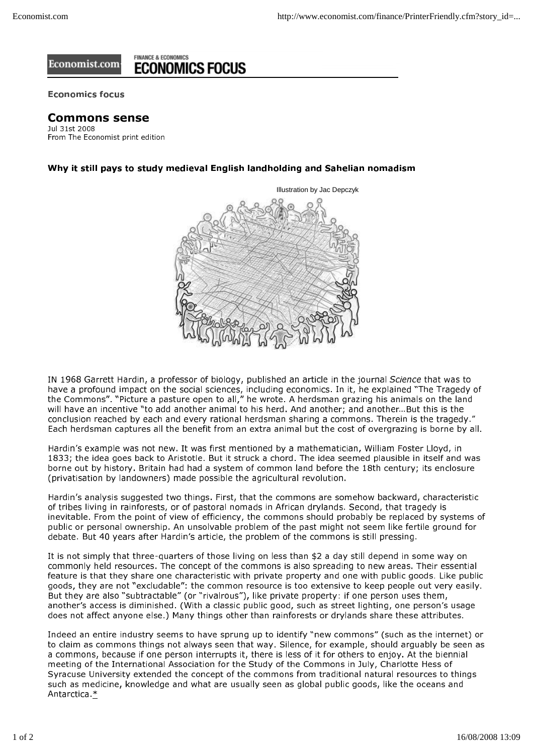## **FINANCE & ECONOMICS** Economist.com **ECONOMICS FOCUS**

**Economics focus** 

## **Commons sense**

Jul 31st 2008 From The Economist print edition

## Why it still pays to study medieval English landholding and Sahelian nomadism



IN 1968 Garrett Hardin, a professor of biology, published an article in the journal Science that was to have a profound impact on the social sciences, including economics. In it, he explained "The Tragedy of the Commons". "Picture a pasture open to all," he wrote. A herdsman grazing his animals on the land will have an incentive "to add another animal to his herd. And another; and another...But this is the conclusion reached by each and every rational herdsman sharing a commons. Therein is the tragedy." Each herdsman captures all the benefit from an extra animal but the cost of overgrazing is borne by all.

Hardin's example was not new. It was first mentioned by a mathematician, William Foster Lloyd, in 1833; the idea goes back to Aristotle. But it struck a chord. The idea seemed plausible in itself and was borne out by history. Britain had had a system of common land before the 18th century; its enclosure (privatisation by landowners) made possible the agricultural revolution.

Hardin's analysis suggested two things. First, that the commons are somehow backward, characteristic of tribes living in rainforests, or of pastoral nomads in African drylands. Second, that tragedy is inevitable. From the point of view of efficiency, the commons should probably be replaced by systems of public or personal ownership. An unsolvable problem of the past might not seem like fertile ground for debate. But 40 years after Hardin's article, the problem of the commons is still pressing.

It is not simply that three-quarters of those living on less than \$2 a day still depend in some way on commonly held resources. The concept of the commons is also spreading to new areas. Their essential feature is that they share one characteristic with private property and one with public goods. Like public goods, they are not "excludable"; the common resource is too extensive to keep people out very easily. But they are also "subtractable" (or "rivalrous"), like private property: if one person uses them, another's access is diminished. (With a classic public good, such as street lighting, one person's usage does not affect anyone else.) Many things other than rainforests or drylands share these attributes.

Indeed an entire industry seems to have sprung up to identify "new commons" (such as the internet) or to claim as commons things not always seen that way. Silence, for example, should arguably be seen as a commons, because if one person interrupts it, there is less of it for others to enjoy. At the biennial meeting of the International Association for the Study of the Commons in July, Charlotte Hess of Syracuse University extended the concept of the commons from traditional natural resources to things such as medicine, knowledge and what are usually seen as global public goods, like the oceans and Antarctica \*